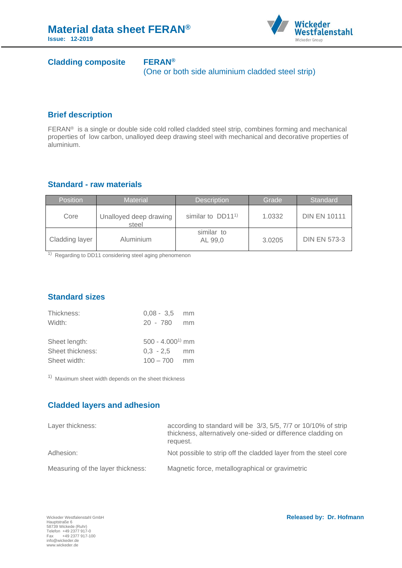

# **Cladding composite FERAN®**

(One or both side aluminium cladded steel strip)

#### **Brief description**

FERAN® is a single or double side cold rolled cladded steel strip, combines forming and mechanical properties of low carbon, unalloyed deep drawing steel with mechanical and decorative properties of aluminium.

## **Standard - raw materials**

| <b>Position</b> | <b>Material</b>                 | <b>Description</b>            | lGrade ' | Standard            |
|-----------------|---------------------------------|-------------------------------|----------|---------------------|
| Core            | Unalloyed deep drawing<br>steel | similar to DD11 <sup>1)</sup> | 1.0332   | <b>DIN EN 10111</b> |
| Cladding layer  | Aluminium                       | similar to<br>AL 99.0         | 3.0205   | <b>DIN EN 573-3</b> |

<sup>1)</sup> Regarding to DD11 considering steel aging phenomenon

# **Standard sizes**

| Thickness:       | $0.08 - 3.5$      | mm |
|------------------|-------------------|----|
| Width:           | $20 - 780$        | mm |
|                  |                   |    |
| Sheet length:    | $500 - 4.0001$ mm |    |
| Sheet thickness: | $0.3 - 2.5$       | mm |
| Sheet width:     | $100 - 700$       | mm |

<sup>1)</sup> Maximum sheet width depends on the sheet thickness

# **Cladded layers and adhesion**

| Layer thickness:                  | according to standard will be 3/3, 5/5, 7/7 or 10/10% of strip<br>thickness, alternatively one-sided or difference cladding on<br>request. |
|-----------------------------------|--------------------------------------------------------------------------------------------------------------------------------------------|
| Adhesion:                         | Not possible to strip off the cladded layer from the steel core                                                                            |
| Measuring of the layer thickness: | Magnetic force, metallographical or gravimetric                                                                                            |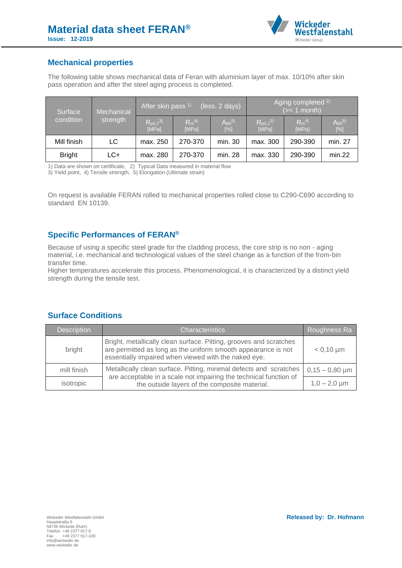

#### **Mechanical properties**

The following table shows mechanical data of Feran with aluminium layer of max. 10/10% after skin pass operation and after the steel aging process is completed.

| Surface<br>condition | Mechanical<br>strength | After skin pass <sup>1)</sup><br>(less. 2 days) |                   |                         | Aging completed <sup>2)</sup><br>$(>= 1$ month) |                      |                        |
|----------------------|------------------------|-------------------------------------------------|-------------------|-------------------------|-------------------------------------------------|----------------------|------------------------|
|                      |                        | $R_{p0,2}^{(3)}$<br>[MPa]                       | $Rm^{4}$<br>[MPa] | $A_{80}^{5)}$<br>$[\%]$ | $R_{p0,2}^{(3)}$<br>[MPa]                       | $R_m^{(4)}$<br>IMPa) | $A_{80}^{5}$<br>$[\%]$ |
| Mill finish          | LC                     | max. 250                                        | 270-370           | min. 30                 | max. 300                                        | 290-390              | min. 27                |
| <b>Bright</b>        | LC+                    | max. 280                                        | 270-370           | min. 28                 | max. 330                                        | 290-390              | min.22                 |

1) Data are shown on certificate, 2) Typical Data measured in material flow

3) Yield point, 4) Tensile strength, 5) Elongation (Ultimate strain)

On request is available FERAN rolled to mechanical properties rolled close to C290-C690 according to standard EN 10139.

# **Specific Performances of FERAN®**

Because of using a specific steel grade for the cladding process, the core strip is no non - aging material, i.e. mechanical and technological values of the steel change as a function of the from-bin transfer time.

Higher temperatures accelerate this process. Phenomenological, it is characterized by a distinct yield strength during the tensile test.

| Description | <b>Characteristics</b>                                                                                                                                                                      | Roughness Ra      |
|-------------|---------------------------------------------------------------------------------------------------------------------------------------------------------------------------------------------|-------------------|
| bright      | Bright, metallically clean surface. Pitting, grooves and scratches<br>are permitted as long as the uniform smooth appearance is not<br>essentially impaired when viewed with the naked eye. | $< 0.10 \mu m$    |
| mill finish | Metallically clean surface. Pitting, minimal defects and scratches<br>are acceptable in a scale not impairing the technical function of                                                     | $0,15-0,80 \mu m$ |
| isotropic   | the outside layers of the composite material.                                                                                                                                               | $1,0 - 2,0 \mu m$ |

#### **Surface Conditions**